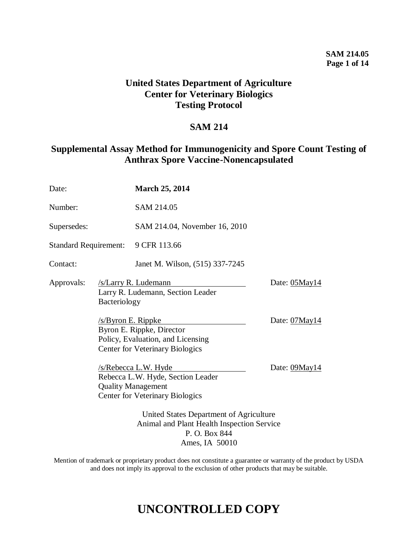## **SAM 214.05 Page 1 of 14**

# **United States Department of Agriculture Center for Veterinary Biologics Testing Protocol**

## **SAM 214**

# **Supplemental Assay Method for Immunogenicity and Spore Count Testing of Anthrax Spore Vaccine-Nonencapsulated**

| Date:                        |                                                                                                        | <b>March 25, 2014</b>                                                                                                                   |               |
|------------------------------|--------------------------------------------------------------------------------------------------------|-----------------------------------------------------------------------------------------------------------------------------------------|---------------|
| Number:                      |                                                                                                        | SAM 214.05                                                                                                                              |               |
| Supersedes:                  |                                                                                                        | SAM 214.04, November 16, 2010                                                                                                           |               |
| <b>Standard Requirement:</b> |                                                                                                        | 9 CFR 113.66                                                                                                                            |               |
| Contact:                     |                                                                                                        | Janet M. Wilson, (515) 337-7245                                                                                                         |               |
| Approvals:                   | Bacteriology                                                                                           | /s/Larry R. Ludemann<br>Larry R. Ludemann, Section Leader                                                                               | Date: 05May14 |
|                              | $/s$ /Byron E. Rippke                                                                                  | Byron E. Rippke, Director<br>Policy, Evaluation, and Licensing<br><b>Center for Veterinary Biologics</b>                                | Date: 07May14 |
|                              |                                                                                                        | <u>/s/Rebecca L.W. Hyde</u><br>Rebecca L.W. Hyde, Section Leader<br><b>Quality Management</b><br><b>Center for Veterinary Biologics</b> | Date: 09May14 |
|                              | United States Department of Agriculture<br>Animal and Plant Health Inspection Service<br>P. O. Box 844 |                                                                                                                                         |               |

Ames, IA 50010

Mention of trademark or proprietary product does not constitute a guarantee or warranty of the product by USDA and does not imply its approval to the exclusion of other products that may be suitable.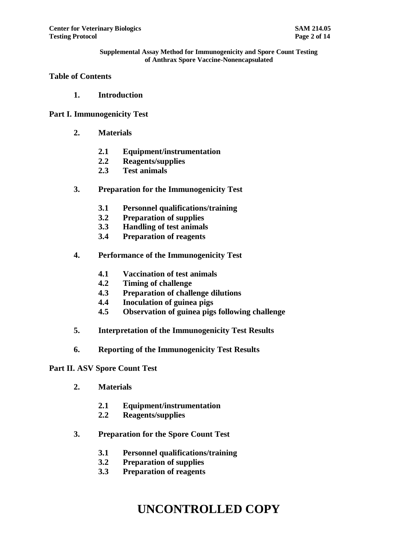### **Table of Contents**

**1. Introduction**

### **Part I. Immunogenicity Test**

- **2. Materials**
	- **2.1 Equipment/instrumentation**
	- **2.2 Reagents/supplies**
	- **2.3 Test animals**
- **3. Preparation for the Immunogenicity Test**
	- **3.1 Personnel qualifications/training**
	- **3.2 Preparation of supplies**
	- **3.3 Handling of test animals**
	- **3.4 Preparation of reagents**
- **4. Performance of the Immunogenicity Test**
	- **4.1 Vaccination of test animals**
	- **4.2 Timing of challenge**
	- **4.3 Preparation of challenge dilutions**
	- **4.4 Inoculation of guinea pigs**
	- **4.5 Observation of guinea pigs following challenge**
- **5. Interpretation of the Immunogenicity Test Results**
- **6. Reporting of the Immunogenicity Test Results**

#### **Part II. ASV Spore Count Test**

- **2. Materials**
	- **2.1 Equipment/instrumentation**
	- **2.2 Reagents/supplies**
- **3. Preparation for the Spore Count Test**
	- **3.1 Personnel qualifications/training**
	- **3.2 Preparation of supplies**
	- **3.3 Preparation of reagents**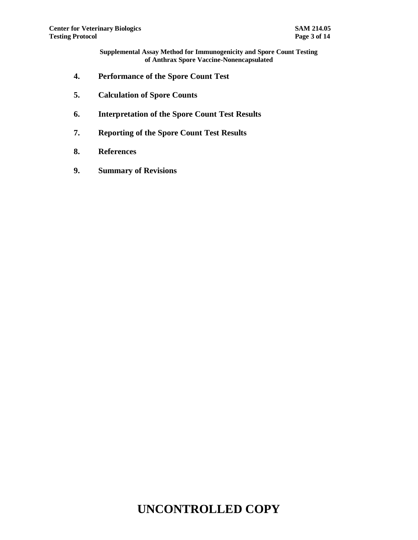- **4. Performance of the Spore Count Test**
- **5. Calculation of Spore Counts**
- **6. Interpretation of the Spore Count Test Results**
- **7. Reporting of the Spore Count Test Results**
- **8. References**
- **9. Summary of Revisions**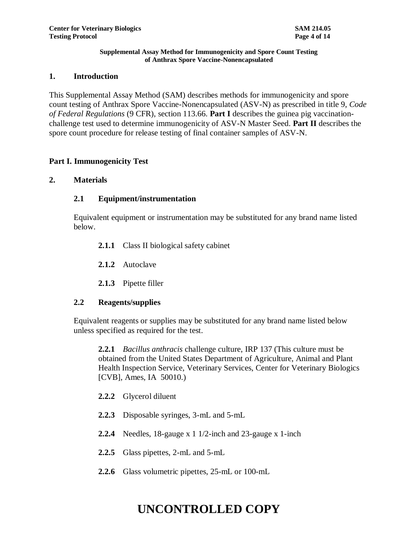### **1. Introduction**

This Supplemental Assay Method (SAM) describes methods for immunogenicity and spore count testing of Anthrax Spore Vaccine-Nonencapsulated (ASV-N) as prescribed in title 9, *Code of Federal Regulations* (9 CFR), section 113.66. **Part I** describes the guinea pig vaccinationchallenge test used to determine immunogenicity of ASV-N Master Seed. **Part II** describes the spore count procedure for release testing of final container samples of ASV-N.

### **Part I. Immunogenicity Test**

### **2. Materials**

### **2.1 Equipment/instrumentation**

Equivalent equipment or instrumentation may be substituted for any brand name listed below.

- **2.1.1** Class II biological safety cabinet
- **2.1.2** Autoclave
- **2.1.3** Pipette filler

### **2.2 Reagents/supplies**

Equivalent reagents or supplies may be substituted for any brand name listed below unless specified as required for the test.

**2.2.1** *Bacillus anthracis* challenge culture, IRP 137 (This culture must be obtained from the United States Department of Agriculture, Animal and Plant Health Inspection Service, Veterinary Services, Center for Veterinary Biologics [CVB], Ames, IA 50010.)

- **2.2.2** Glycerol diluent
- **2.2.3** Disposable syringes, 3-mL and 5-mL
- **2.2.4** Needles, 18-gauge x 1 1/2-inch and 23-gauge x 1-inch
- **2.2.5** Glass pipettes, 2-mL and 5-mL
- **2.2.6** Glass volumetric pipettes, 25-mL or 100-mL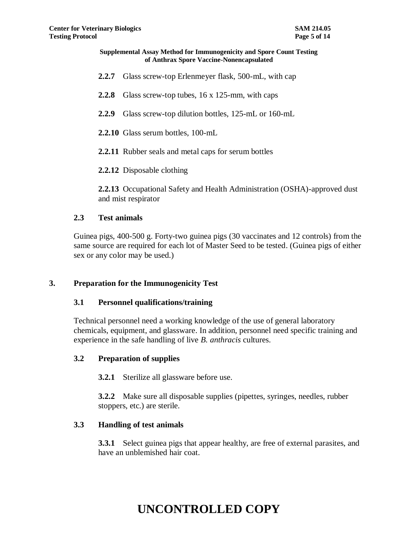- **2.2.7** Glass screw-top Erlenmeyer flask, 500-mL, with cap
- **2.2.8** Glass screw-top tubes, 16 x 125-mm, with caps
- **2.2.9** Glass screw-top dilution bottles, 125-mL or 160-mL
- **2.2.10** Glass serum bottles, 100-mL
- **2.2.11** Rubber seals and metal caps for serum bottles
- **2.2.12** Disposable clothing

**2.2.13** Occupational Safety and Health Administration (OSHA)-approved dust and mist respirator

### **2.3 Test animals**

Guinea pigs, 400-500 g. Forty-two guinea pigs (30 vaccinates and 12 controls) from the same source are required for each lot of Master Seed to be tested. (Guinea pigs of either sex or any color may be used.)

### **3. Preparation for the Immunogenicity Test**

#### **3.1 Personnel qualifications/training**

Technical personnel need a working knowledge of the use of general laboratory chemicals, equipment, and glassware. In addition, personnel need specific training and experience in the safe handling of live *B. anthracis* cultures.

### **3.2 Preparation of supplies**

**3.2.1** Sterilize all glassware before use.

**3.2.2** Make sure all disposable supplies (pipettes, syringes, needles, rubber stoppers, etc.) are sterile.

#### **3.3 Handling of test animals**

**3.3.1** Select guinea pigs that appear healthy, are free of external parasites, and have an unblemished hair coat.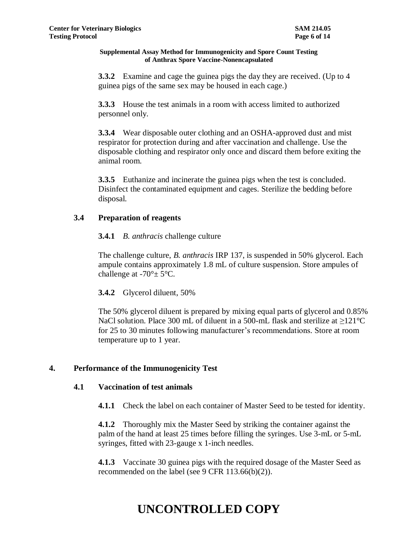**3.3.2** Examine and cage the guinea pigs the day they are received. (Up to 4) guinea pigs of the same sex may be housed in each cage.)

**3.3.3** House the test animals in a room with access limited to authorized personnel only.

**3.3.4** Wear disposable outer clothing and an OSHA-approved dust and mist respirator for protection during and after vaccination and challenge. Use the disposable clothing and respirator only once and discard them before exiting the animal room.

**3.3.5** Euthanize and incinerate the guinea pigs when the test is concluded. Disinfect the contaminated equipment and cages. Sterilize the bedding before disposal.

## **3.4 Preparation of reagents**

## **3.4.1** *B. anthracis* challenge culture

The challenge culture, *B. anthracis* IRP 137, is suspended in 50% glycerol. Each ampule contains approximately 1.8 mL of culture suspension. Store ampules of challenge at -70°± 5°C.

# **3.4.2** Glycerol diluent, 50%

The 50% glycerol diluent is prepared by mixing equal parts of glycerol and 0.85% NaCl solution. Place 300 mL of diluent in a 500-mL flask and sterilize at  $\geq$ 121°C for 25 to 30 minutes following manufacturer's recommendations. Store at room temperature up to 1 year.

# **4. Performance of the Immunogenicity Test**

## **4.1 Vaccination of test animals**

**4.1.1** Check the label on each container of Master Seed to be tested for identity.

**4.1.2** Thoroughly mix the Master Seed by striking the container against the palm of the hand at least 25 times before filling the syringes. Use 3-mL or 5-mL syringes, fitted with 23-gauge x 1-inch needles.

**4.1.3** Vaccinate 30 guinea pigs with the required dosage of the Master Seed as recommended on the label (see 9 CFR 113.66(b)(2)).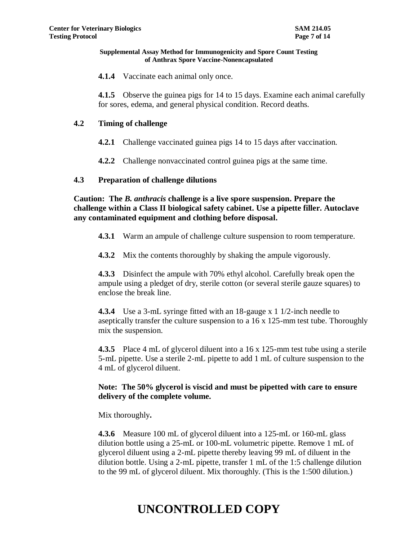**4.1.4** Vaccinate each animal only once.

**4.1.5** Observe the guinea pigs for 14 to 15 days. Examine each animal carefully for sores, edema, and general physical condition. Record deaths.

## **4.2 Timing of challenge**

**4.2.1** Challenge vaccinated guinea pigs 14 to 15 days after vaccination.

**4.2.2** Challenge nonvaccinated control guinea pigs at the same time.

### **4.3 Preparation of challenge dilutions**

**Caution: The** *B. anthracis* **challenge is a live spore suspension. Prepare the challenge within a Class II biological safety cabinet. Use a pipette filler. Autoclave any contaminated equipment and clothing before disposal.** 

- **4.3.1** Warm an ampule of challenge culture suspension to room temperature.
- **4.3.2** Mix the contents thoroughly by shaking the ampule vigorously.

**4.3.3** Disinfect the ampule with 70% ethyl alcohol. Carefully break open the ampule using a pledget of dry, sterile cotton (or several sterile gauze squares) to enclose the break line.

**4.3.4** Use a 3-mL syringe fitted with an 18-gauge x 1 1/2-inch needle to aseptically transfer the culture suspension to a 16 x 125-mm test tube. Thoroughly mix the suspension.

**4.3.5** Place 4 mL of glycerol diluent into a 16 x 125-mm test tube using a sterile 5-mL pipette. Use a sterile 2-mL pipette to add 1 mL of culture suspension to the 4 mL of glycerol diluent.

## **Note: The 50% glycerol is viscid and must be pipetted with care to ensure delivery of the complete volume.**

Mix thoroughly**.** 

**4.3.6** Measure 100 mL of glycerol diluent into a 125-mL or 160-mL glass dilution bottle using a 25-mL or 100-mL volumetric pipette. Remove 1 mL of glycerol diluent using a 2-mL pipette thereby leaving 99 mL of diluent in the dilution bottle. Using a 2-mL pipette, transfer 1 mL of the 1:5 challenge dilution to the 99 mL of glycerol diluent. Mix thoroughly. (This is the 1:500 dilution.)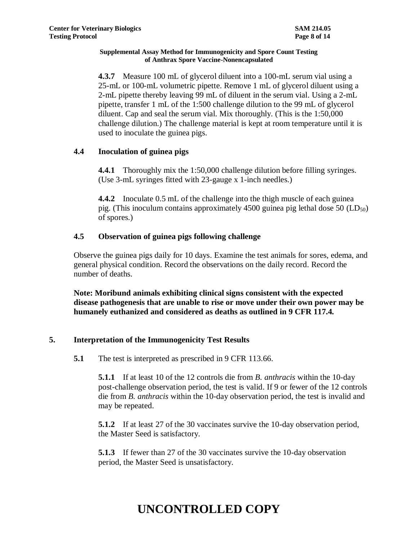**4.3.7** Measure 100 mL of glycerol diluent into a 100-mL serum vial using a 25-mL or 100-mL volumetric pipette. Remove 1 mL of glycerol diluent using a 2-mL pipette thereby leaving 99 mL of diluent in the serum vial. Using a 2-mL pipette, transfer 1 mL of the 1:500 challenge dilution to the 99 mL of glycerol diluent. Cap and seal the serum vial. Mix thoroughly. (This is the 1:50,000 challenge dilution.) The challenge material is kept at room temperature until it is used to inoculate the guinea pigs.

# **4.4 Inoculation of guinea pigs**

**4.4.1** Thoroughly mix the 1:50,000 challenge dilution before filling syringes. (Use 3-mL syringes fitted with 23-gauge x 1-inch needles.)

**4.4.2** Inoculate 0.5 mL of the challenge into the thigh muscle of each guinea pig. (This inoculum contains approximately 4500 guinea pig lethal dose 50  $(LD_{50})$ of spores.)

# **4.5 Observation of guinea pigs following challenge**

Observe the guinea pigs daily for 10 days. Examine the test animals for sores, edema, and general physical condition. Record the observations on the daily record. Record the number of deaths.

**Note: Moribund animals exhibiting clinical signs consistent with the expected disease pathogenesis that are unable to rise or move under their own power may be humanely euthanized and considered as deaths as outlined in 9 CFR 117.4.**

## **5. Interpretation of the Immunogenicity Test Results**

**5.1** The test is interpreted as prescribed in 9 CFR 113.66.

**5.1.1** If at least 10 of the 12 controls die from *B. anthracis* within the 10-day post-challenge observation period, the test is valid. If 9 or fewer of the 12 controls die from *B. anthracis* within the 10-day observation period, the test is invalid and may be repeated.

**5.1.2** If at least 27 of the 30 vaccinates survive the 10-day observation period, the Master Seed is satisfactory.

**5.1.3** If fewer than 27 of the 30 vaccinates survive the 10-day observation period, the Master Seed is unsatisfactory.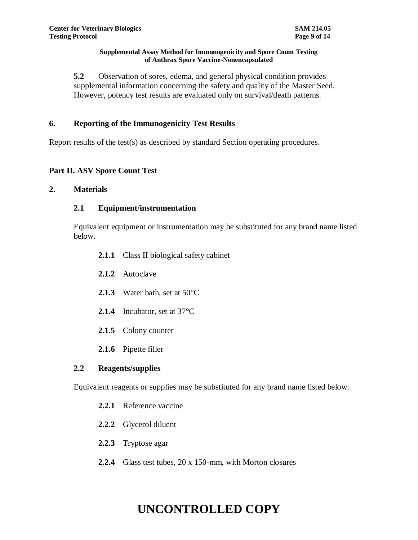**5.2** Observation of sores, edema, and general physical condition provides supplemental information concerning the safety and quality of the Master Seed. However, potency test results are evaluated only on survival/death patterns.

## **6. Reporting of the Immunogenicity Test Results**

Report results of the test(s) as described by standard Section operating procedures.

# **Part II. ASV Spore Count Test**

## **2. Materials**

## **2.1 Equipment/instrumentation**

Equivalent equipment or instrumentation may be substituted for any brand name listed below.

- **2.1.1** Class II biological safety cabinet
- **2.1.2** Autoclave
- **2.1.3** Water bath, set at 50°C
- **2.1.4** Incubator, set at 37°C
- **2.1.5** Colony counter
- **2.1.6** Pipette filler

## **2.2 Reagents/supplies**

Equivalent reagents or supplies may be substituted for any brand name listed below.

- **2.2.1** Reference vaccine
- **2.2.2** Glycerol diluent
- **2.2.3** Tryptose agar
- **2.2.4** Glass test tubes, 20 x 150-mm, with Morton closures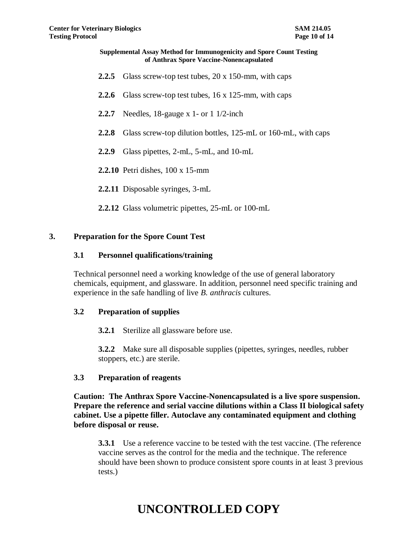- **2.2.5** Glass screw-top test tubes, 20 x 150-mm, with caps
- **2.2.6** Glass screw-top test tubes, 16 x 125-mm, with caps
- **2.2.7** Needles, 18-gauge x 1- or 1 1/2-inch
- **2.2.8** Glass screw-top dilution bottles, 125-mL or 160-mL, with caps
- **2.2.9** Glass pipettes, 2-mL, 5-mL, and 10-mL
- **2.2.10** Petri dishes, 100 x 15-mm
- **2.2.11** Disposable syringes, 3-mL
- **2.2.12** Glass volumetric pipettes, 25-mL or 100-mL

### **3. Preparation for the Spore Count Test**

#### **3.1 Personnel qualifications/training**

Technical personnel need a working knowledge of the use of general laboratory chemicals, equipment, and glassware. In addition, personnel need specific training and experience in the safe handling of live *B. anthracis* cultures.

#### **3.2 Preparation of supplies**

**3.2.1** Sterilize all glassware before use.

**3.2.2** Make sure all disposable supplies (pipettes, syringes, needles, rubber stoppers, etc.) are sterile.

#### **3.3 Preparation of reagents**

**Caution: The Anthrax Spore Vaccine-Nonencapsulated is a live spore suspension. Prepare the reference and serial vaccine dilutions within a Class II biological safety cabinet. Use a pipette filler. Autoclave any contaminated equipment and clothing before disposal or reuse.** 

**3.3.1** Use a reference vaccine to be tested with the test vaccine. (The reference vaccine serves as the control for the media and the technique. The reference should have been shown to produce consistent spore counts in at least 3 previous tests.)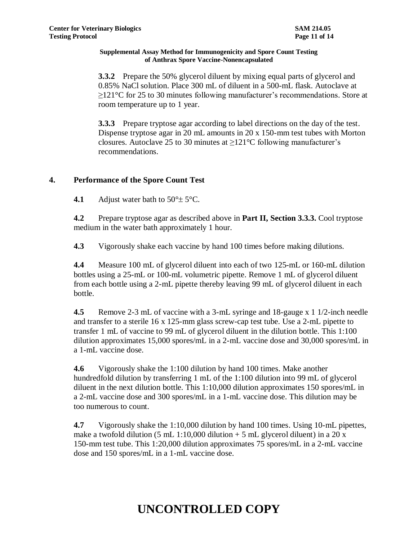**3.3.2** Prepare the 50% glycerol diluent by mixing equal parts of glycerol and 0.85% NaCl solution. Place 300 mL of diluent in a 500-mL flask. Autoclave at  $\geq$ 121°C for 25 to 30 minutes following manufacturer's recommendations. Store at room temperature up to 1 year.

**3.3.3** Prepare tryptose agar according to label directions on the day of the test. Dispense tryptose agar in 20 mL amounts in 20 x 150-mm test tubes with Morton closures. Autoclave 25 to 30 minutes at ≥121°C following manufacturer's recommendations.

# **4. Performance of the Spore Count Test**

**4.1** Adjust water bath to  $50^{\circ} \pm 5^{\circ}$ C.

**4.2** Prepare tryptose agar as described above in **Part II, Section 3.3.3.** Cool tryptose medium in the water bath approximately 1 hour.

**4.3** Vigorously shake each vaccine by hand 100 times before making dilutions.

**4.4** Measure 100 mL of glycerol diluent into each of two 125-mL or 160-mL dilution bottles using a 25-mL or 100-mL volumetric pipette. Remove 1 mL of glycerol diluent from each bottle using a 2-mL pipette thereby leaving 99 mL of glycerol diluent in each bottle.

**4.5** Remove 2-3 mL of vaccine with a 3-mL syringe and 18-gauge x 1 1/2-inch needle and transfer to a sterile 16 x 125-mm glass screw-cap test tube. Use a 2-mL pipette to transfer 1 mL of vaccine to 99 mL of glycerol diluent in the dilution bottle. This 1:100 dilution approximates 15,000 spores/mL in a 2-mL vaccine dose and 30,000 spores/mL in a 1-mL vaccine dose.

**4.6** Vigorously shake the 1:100 dilution by hand 100 times. Make another hundredfold dilution by transferring 1 mL of the 1:100 dilution into 99 mL of glycerol diluent in the next dilution bottle. This 1:10,000 dilution approximates 150 spores/mL in a 2-mL vaccine dose and 300 spores/mL in a 1-mL vaccine dose. This dilution may be too numerous to count.

**4.7** Vigorously shake the 1:10,000 dilution by hand 100 times. Using 10-mL pipettes, make a twofold dilution (5 mL 1:10,000 dilution  $+$  5 mL glycerol diluent) in a 20 x 150-mm test tube. This 1:20,000 dilution approximates 75 spores/mL in a 2-mL vaccine dose and 150 spores/mL in a 1-mL vaccine dose.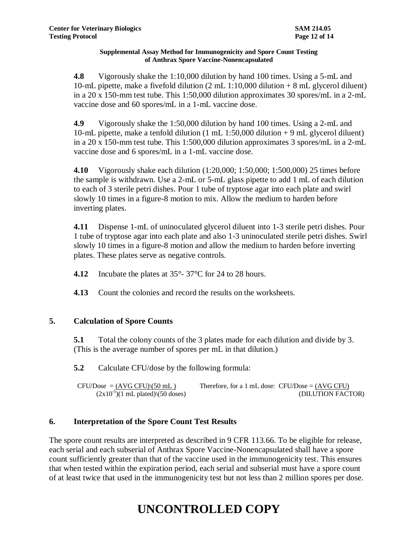**4.8** Vigorously shake the 1:10,000 dilution by hand 100 times. Using a 5-mL and 10-mL pipette, make a fivefold dilution (2 mL 1:10,000 dilution + 8 mL glycerol diluent) in a 20 x 150-mm test tube. This 1:50,000 dilution approximates 30 spores/mL in a 2-mL vaccine dose and 60 spores/mL in a 1-mL vaccine dose.

**4.9** Vigorously shake the 1:50,000 dilution by hand 100 times. Using a 2-mL and 10-mL pipette, make a tenfold dilution (1 mL 1:50,000 dilution + 9 mL glycerol diluent) in a 20 x 150-mm test tube. This 1:500,000 dilution approximates 3 spores/mL in a 2-mL vaccine dose and 6 spores/mL in a 1-mL vaccine dose.

**4.10** Vigorously shake each dilution (1:20,000; 1:50,000; 1:500,000) 25 times before the sample is withdrawn. Use a 2-mL or 5-mL glass pipette to add 1 mL of each dilution to each of 3 sterile petri dishes. Pour 1 tube of tryptose agar into each plate and swirl slowly 10 times in a figure-8 motion to mix. Allow the medium to harden before inverting plates.

**4.11** Dispense 1-mL of uninoculated glycerol diluent into 1-3 sterile petri dishes. Pour 1 tube of tryptose agar into each plate and also 1-3 uninoculated sterile petri dishes. Swirl slowly 10 times in a figure-8 motion and allow the medium to harden before inverting plates. These plates serve as negative controls.

**4.12** Incubate the plates at 35°- 37°C for 24 to 28 hours.

**4.13** Count the colonies and record the results on the worksheets.

# **5. Calculation of Spore Counts**

**5.1** Total the colony counts of the 3 plates made for each dilution and divide by 3. (This is the average number of spores per mL in that dilution.)

**5.2** Calculate CFU/dose by the following formula:

 $CFU/Does = (AVG CFU)/(50 mL)$  Therefore, for a 1 mL dose: CFU/Dose =  $(AVG CFU)$  $(2x10<sup>-5</sup>)(1 \text{ mL plated})$  $(50 \text{ doses})$  (DILUTION FACTOR)

# **6. Interpretation of the Spore Count Test Results**

The spore count results are interpreted as described in 9 CFR 113.66. To be eligible for release, each serial and each subserial of Anthrax Spore Vaccine-Nonencapsulated shall have a spore count sufficiently greater than that of the vaccine used in the immunogenicity test. This ensures that when tested within the expiration period, each serial and subserial must have a spore count of at least twice that used in the immunogenicity test but not less than 2 million spores per dose.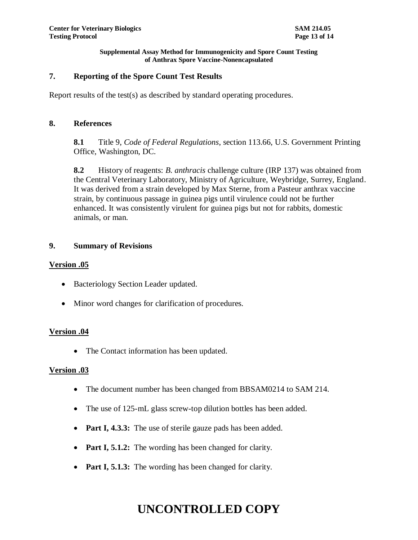## **7. Reporting of the Spore Count Test Results**

Report results of the test(s) as described by standard operating procedures.

## **8. References**

**8.1** Title 9, *Code of Federal Regulations*, section 113.66, U.S. Government Printing Office, Washington, DC.

**8.2** History of reagents: *B. anthracis* challenge culture (IRP 137) was obtained from the Central Veterinary Laboratory, Ministry of Agriculture, Weybridge, Surrey, England. It was derived from a strain developed by Max Sterne, from a Pasteur anthrax vaccine strain, by continuous passage in guinea pigs until virulence could not be further enhanced. It was consistently virulent for guinea pigs but not for rabbits, domestic animals, or man.

## **9. Summary of Revisions**

## **Version .05**

- Bacteriology Section Leader updated.
- Minor word changes for clarification of procedures.

## **Version .04**

• The Contact information has been updated.

## **Version .03**

- The document number has been changed from BBSAM0214 to SAM 214.
- The use of 125-mL glass screw-top dilution bottles has been added.
- **Part I, 4.3.3:** The use of sterile gauze pads has been added.
- **Part I, 5.1.2:** The wording has been changed for clarity.
- **Part I, 5.1.3:** The wording has been changed for clarity.